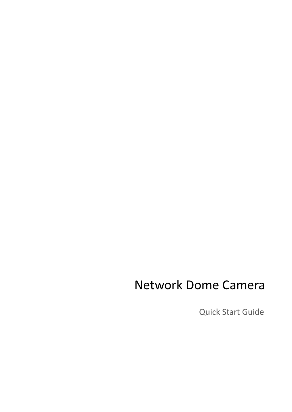# Network Dome Camera

Quick Start Guide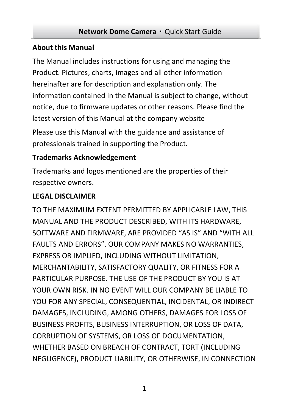#### **About this Manual**

The Manual includes instructions for using and managing the Product. Pictures, charts, images and all other information hereinafter are for description and explanation only. The information contained in the Manual is subject to change, without notice, due to firmware updates or other reasons. Please find the latest version of this Manual at the company website

Please use this Manual with the guidance and assistance of professionals trained in supporting the Product.

### **Trademarks Acknowledgement**

Trademarks and logos mentioned are the properties of their respective owners.

### **LEGAL DISCLAIMER**

TO THE MAXIMUM EXTENT PERMITTED BY APPLICABLE LAW, THIS MANUAL AND THE PRODUCT DESCRIBED, WITH ITS HARDWARE, SOFTWARE AND FIRMWARE, ARE PROVIDED "AS IS" AND "WITH ALL FAULTS AND ERRORS". OUR COMPANY MAKES NO WARRANTIES, EXPRESS OR IMPLIED, INCLUDING WITHOUT LIMITATION, MERCHANTABILITY, SATISFACTORY QUALITY, OR FITNESS FOR A PARTICULAR PURPOSE. THE USE OF THE PRODUCT BY YOU IS AT YOUR OWN RISK. IN NO EVENT WILL OUR COMPANY BE LIABLE TO YOU FOR ANY SPECIAL, CONSEQUENTIAL, INCIDENTAL, OR INDIRECT DAMAGES, INCLUDING, AMONG OTHERS, DAMAGES FOR LOSS OF BUSINESS PROFITS, BUSINESS INTERRUPTION, OR LOSS OF DATA, CORRUPTION OF SYSTEMS, OR LOSS OF DOCUMENTATION, WHETHER BASED ON BREACH OF CONTRACT, TORT (INCLUDING NEGLIGENCE), PRODUCT LIABILITY, OR OTHERWISE, IN CONNECTION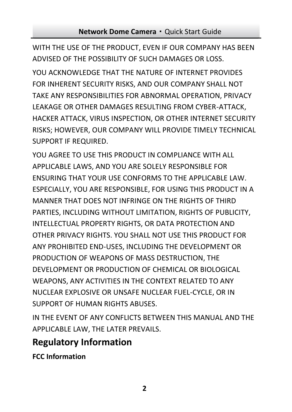WITH THE USE OF THE PRODUCT, EVEN IF OUR COMPANY HAS BEEN ADVISED OF THE POSSIBILITY OF SUCH DAMAGES OR LOSS.

YOU ACKNOWLEDGE THAT THE NATURE OF INTERNET PROVIDES FOR INHERENT SECURITY RISKS, AND OUR COMPANY SHALL NOT TAKE ANY RESPONSIBILITIES FOR ABNORMAL OPERATION, PRIVACY LEAKAGE OR OTHER DAMAGES RESULTING FROM CYBER-ATTACK, HACKER ATTACK, VIRUS INSPECTION, OR OTHER INTERNET SECURITY RISKS; HOWEVER, OUR COMPANY WILL PROVIDE TIMELY TECHNICAL SUPPORT IF REQUIRED.

YOU AGREE TO USE THIS PRODUCT IN COMPLIANCE WITH ALL APPLICABLE LAWS, AND YOU ARE SOLELY RESPONSIBLE FOR ENSURING THAT YOUR USE CONFORMS TO THE APPLICABLE LAW. ESPECIALLY, YOU ARE RESPONSIBLE, FOR USING THIS PRODUCT IN A MANNER THAT DOES NOT INFRINGE ON THE RIGHTS OF THIRD PARTIES, INCLUDING WITHOUT LIMITATION, RIGHTS OF PUBLICITY, INTELLECTUAL PROPERTY RIGHTS, OR DATA PROTECTION AND OTHER PRIVACY RIGHTS. YOU SHALL NOT USE THIS PRODUCT FOR ANY PROHIBITED END-USES, INCLUDING THE DEVELOPMENT OR PRODUCTION OF WEAPONS OF MASS DESTRUCTION, THE DEVELOPMENT OR PRODUCTION OF CHEMICAL OR BIOLOGICAL WEAPONS, ANY ACTIVITIES IN THE CONTEXT RELATED TO ANY NUCLEAR EXPLOSIVE OR UNSAFE NUCLEAR FUEL-CYCLE, OR IN SUPPORT OF HUMAN RIGHTS ABUSES.

IN THE EVENT OF ANY CONFLICTS BETWEEN THIS MANUAL AND THE APPLICABLE LAW, THE LATER PREVAILS.

### **Regulatory Information**

**FCC Information**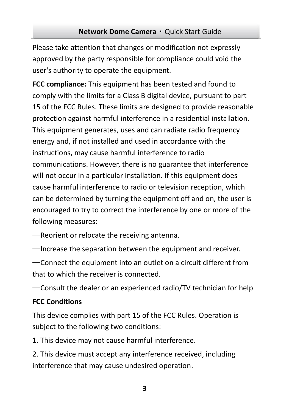Please take attention that changes or modification not expressly approved by the party responsible for compliance could void the user's authority to operate the equipment.

**FCC compliance:** This equipment has been tested and found to comply with the limits for a Class B digital device, pursuant to part 15 of the FCC Rules. These limits are designed to provide reasonable protection against harmful interference in a residential installation. This equipment generates, uses and can radiate radio frequency energy and, if not installed and used in accordance with the instructions, may cause harmful interference to radio communications. However, there is no guarantee that interference will not occur in a particular installation. If this equipment does cause harmful interference to radio or television reception, which can be determined by turning the equipment off and on, the user is encouraged to try to correct the interference by one or more of the following measures:

—Reorient or relocate the receiving antenna.

—Increase the separation between the equipment and receiver.

—Connect the equipment into an outlet on a circuit different from that to which the receiver is connected.

—Consult the dealer or an experienced radio/TV technician for help

### **FCC Conditions**

This device complies with part 15 of the FCC Rules. Operation is subject to the following two conditions:

1. This device may not cause harmful interference.

2. This device must accept any interference received, including interference that may cause undesired operation.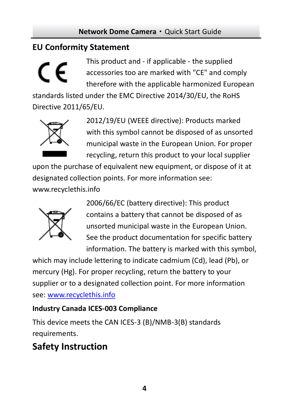### **EU Conformity Statement**



This product and - if applicable - the supplied accessories too are marked with "CE" and comply therefore with the applicable harmonized European

standards listed under the EMC Directive 2014/30/EU, the RoHS Directive 2011/65/EU.



2012/19/EU (WEEE directive): Products marked with this symbol cannot be disposed of as unsorted municipal waste in the European Union. For proper recycling, return this product to your local supplier

upon the purchase of equivalent new equipment, or dispose of it at designated collection points. For more information see:

[www.recyclethis.info](http://www.recyclethis.info/)



2006/66/EC (battery directive): This product contains a battery that cannot be disposed of as unsorted municipal waste in the European Union. See the product documentation for specific battery information. The battery is marked with this symbol,

which may include lettering to indicate cadmium (Cd), lead (Pb), or mercury (Hg). For proper recycling, return the battery to your supplier or to a designated collection point. For more information see[: www.recyclethis.info](http://www.recyclethis.info/)

### **Industry Canada ICES-003 Compliance**

This device meets the CAN ICES-3 (B)/NMB-3(B) standards requirements.

### **Safety Instruction**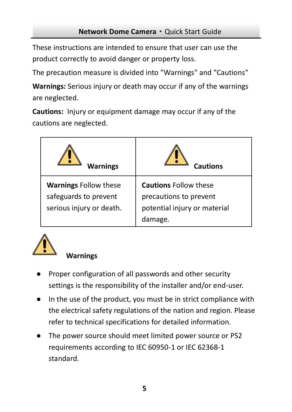These instructions are intended to ensure that user can use the product correctly to avoid danger or property loss.

The precaution measure is divided into "Warnings" and "Cautions"

**Warnings:** Serious injury or death may occur if any of the warnings are neglected.

**Cautions:** Injury or equipment damage may occur if any of the cautions are neglected.

| <b>Warnings</b>                                                                   | Cautions                                                                                          |
|-----------------------------------------------------------------------------------|---------------------------------------------------------------------------------------------------|
| <b>Warnings Follow these</b><br>safeguards to prevent<br>serious injury or death. | <b>Cautions Follow these</b><br>precautions to prevent<br>potential injury or material<br>damage. |



### **Warnings**

- Proper configuration of all passwords and other security settings is the responsibility of the installer and/or end-user.
- In the use of the product, you must be in strict compliance with the electrical safety regulations of the nation and region. Please refer to technical specifications for detailed information.
- The power source should meet limited power source or PS2 requirements according to IEC 60950-1 or IEC 62368-1 standard.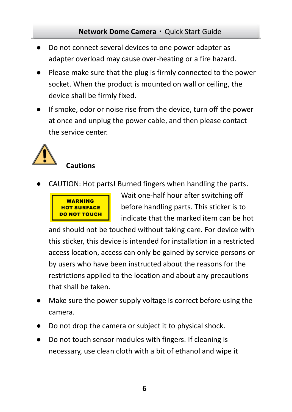- Do not connect several devices to one power adapter as adapter overload may cause over-heating or a fire hazard.
- Please make sure that the plug is firmly connected to the power socket. When the product is mounted on wall or ceiling, the device shall be firmly fixed.
- If smoke, odor or noise rise from the device, turn off the power at once and unplug the power cable, and then please contact the service center.



CAUTION: Hot parts! Burned fingers when handling the parts.



Wait one-half hour after switching off before handling parts. This sticker is to indicate that the marked item can be hot

and should not be touched without taking care. For device with this sticker, this device is intended for installation in a restricted access location, access can only be gained by service persons or by users who have been instructed about the reasons for the restrictions applied to the location and about any precautions that shall be taken.

- Make sure the power supply voltage is correct before using the camera.
- Do not drop the camera or subject it to physical shock.
- Do not touch sensor modules with fingers. If cleaning is necessary, use clean cloth with a bit of ethanol and wipe it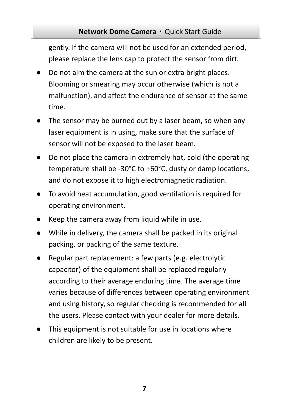gently. If the camera will not be used for an extended period, please replace the lens cap to protect the sensor from dirt.

- Do not aim the camera at the sun or extra bright places. Blooming or smearing may occur otherwise (which is not a malfunction), and affect the endurance of sensor at the same time.
- The sensor may be burned out by a laser beam, so when any laser equipment is in using, make sure that the surface of sensor will not be exposed to the laser beam.
- Do not place the camera in extremely hot, cold (the operating temperature shall be -30°C to +60°C, dusty or damp locations, and do not expose it to high electromagnetic radiation.
- To avoid heat accumulation, good ventilation is required for operating environment.
- Keep the camera away from liquid while in use.
- While in delivery, the camera shall be packed in its original packing, or packing of the same texture.
- Regular part replacement: a few parts (e.g. electrolytic capacitor) of the equipment shall be replaced regularly according to their average enduring time. The average time varies because of differences between operating environment and using history, so regular checking is recommended for all the users. Please contact with your dealer for more details.
- This equipment is not suitable for use in locations where children are likely to be present.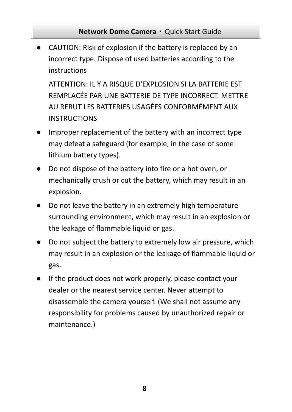● CAUTION: Risk of explosion if the battery is replaced by an incorrect type. Dispose of used batteries according to the instructions

ATTENTION: IL Y A RISQUE D'EXPLOSION SI LA BATTERIE EST REMPLACÉE PAR UNE BATTERIE DE TYPE INCORRECT. METTRE AU REBUT LES BATTERIES USAGÉES CONFORMÉMENT AUX INSTRUCTIONS

- Improper replacement of the battery with an incorrect type may defeat a safeguard (for example, in the case of some lithium battery types).
- Do not dispose of the battery into fire or a hot oven, or mechanically crush or cut the battery, which may result in an explosion.
- Do not leave the battery in an extremely high temperature surrounding environment, which may result in an explosion or the leakage of flammable liquid or gas.
- Do not subject the battery to extremely low air pressure, which may result in an explosion or the leakage of flammable liquid or gas.
- If the product does not work properly, please contact your dealer or the nearest service center. Never attempt to disassemble the camera yourself. (We shall not assume any responsibility for problems caused by unauthorized repair or maintenance.)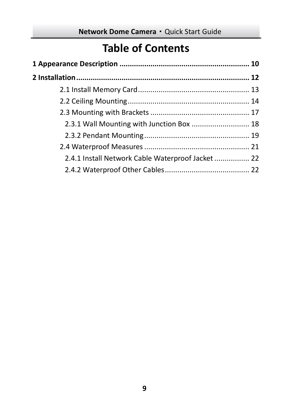### **Table of Contents**

| 2.4.1 Install Network Cable Waterproof Jacket  22 |  |  |  |  |
|---------------------------------------------------|--|--|--|--|
|                                                   |  |  |  |  |
|                                                   |  |  |  |  |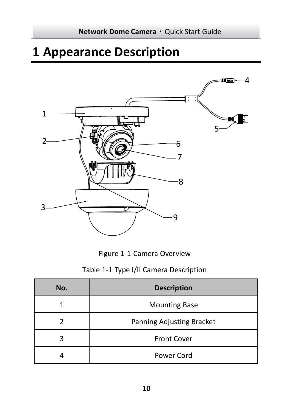# <span id="page-10-0"></span>**Appearance Description**



Figure 1-1 Camera Overview

|  |  |  |  | Table 1-1 Type I/II Camera Description |
|--|--|--|--|----------------------------------------|
|--|--|--|--|----------------------------------------|

| No. | <b>Description</b>        |
|-----|---------------------------|
|     | <b>Mounting Base</b>      |
|     | Panning Adjusting Bracket |
|     | <b>Front Cover</b>        |
|     | Power Cord                |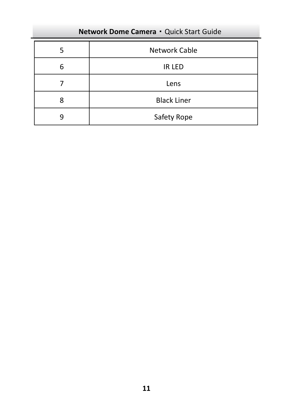|   | Network Cable      |
|---|--------------------|
| հ | IR LED             |
|   | Lens               |
|   | <b>Black Liner</b> |
|   | Safety Rope        |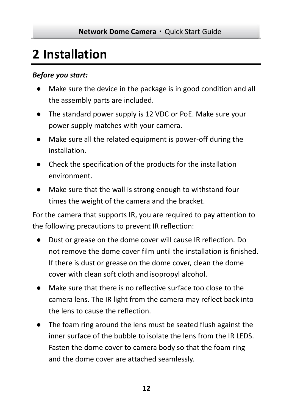# <span id="page-12-0"></span>**2 Installation**

### *Before you start:*

- Make sure the device in the package is in good condition and all the assembly parts are included.
- The standard power supply is 12 VDC or PoE. Make sure your power supply matches with your camera.
- Make sure all the related equipment is power-off during the installation.
- Check the specification of the products for the installation environment.
- Make sure that the wall is strong enough to withstand four times the weight of the camera and the bracket.

For the camera that supports IR, you are required to pay attention to the following precautions to prevent IR reflection:

- Dust or grease on the dome cover will cause IR reflection. Do not remove the dome cover film until the installation is finished. If there is dust or grease on the dome cover, clean the dome cover with clean soft cloth and isopropyl alcohol.
- Make sure that there is no reflective surface too close to the camera lens. The IR light from the camera may reflect back into the lens to cause the reflection.
- The foam ring around the lens must be seated flush against the inner surface of the bubble to isolate the lens from the IR LEDS. Fasten the dome cover to camera body so that the foam ring and the dome cover are attached seamlessly.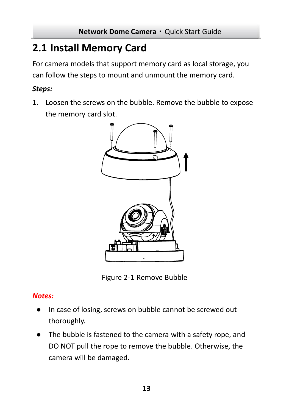### <span id="page-13-0"></span>**2.1 Install Memory Card**

For camera models that support memory card as local storage, you can follow the steps to mount and unmount the memory card.

### *Steps:*

1. Loosen the screws on the bubble. Remove the bubble to expose the memory card slot.



Figure 2-1 Remove Bubble

### *Notes:*

- In case of losing, screws on bubble cannot be screwed out thoroughly.
- The bubble is fastened to the camera with a safety rope, and DO NOT pull the rope to remove the bubble. Otherwise, the camera will be damaged.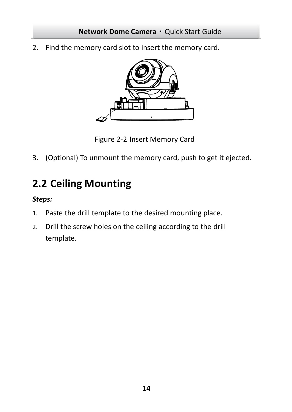2. Find the memory card slot to insert the memory card.



Figure 2-2 Insert Memory Card

<span id="page-14-0"></span>3. (Optional) To unmount the memory card, push to get it ejected.

## **2.2 Ceiling Mounting**

### *Steps:*

- 1. Paste the drill template to the desired mounting place.
- 2. Drill the screw holes on the ceiling according to the drill template.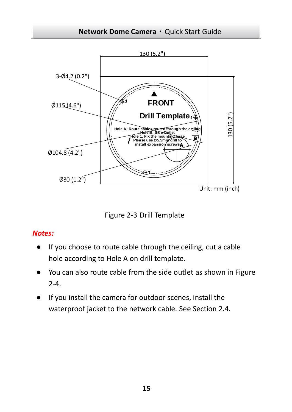

Figure 2-3 Drill Template

### *Notes:*

- If you choose to route cable through the ceiling, cut a cable hole according to Hole A on drill template.
- You can also route cable from the side outlet as shown in Figure [2-4.](#page-16-0)
- If you install the camera for outdoor scenes, install the waterproof jacket to the network cable. See Section [2.4.](#page-21-0)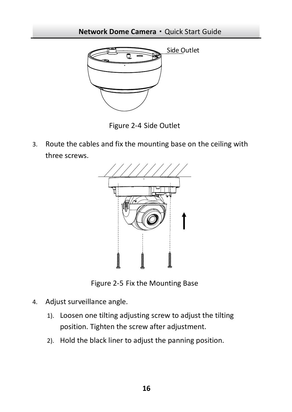

Figure 2-4 Side Outlet

<span id="page-16-0"></span>3. Route the cables and fix the mounting base on the ceiling with three screws.



Figure 2-5 Fix the Mounting Base

- <span id="page-16-1"></span>4. Adjust surveillance angle.
	- 1). Loosen one tilting adjusting screw to adjust the tilting position. Tighten the screw after adjustment.
	- 2). Hold the black liner to adjust the panning position.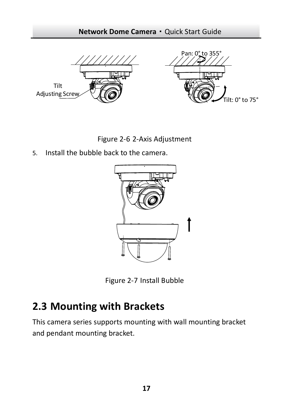

Figure 2-6 2-Axis Adjustment

5. Install the bubble back to the camera.



Figure 2-7 Install Bubble

### <span id="page-17-0"></span>**2.3 Mounting with Brackets**

This camera series supports mounting with wall mounting bracket and pendant mounting bracket.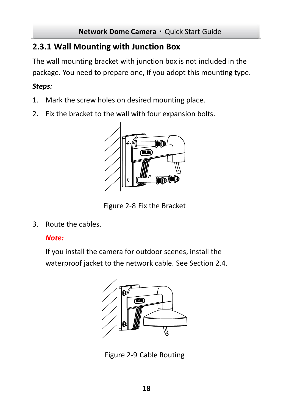### <span id="page-18-0"></span>**2.3.1 Wall Mounting with Junction Box**

The wall mounting bracket with junction box is not included in the package. You need to prepare one, if you adopt this mounting type.

### *Steps:*

- 1. Mark the screw holes on desired mounting place.
- 2. Fix the bracket to the wall with four expansion bolts.



Figure 2-8 Fix the Bracket

3. Route the cables.

### *Note:*

If you install the camera for outdoor scenes, install the waterproof jacket to the network cable. See Section [2.4.](#page-21-0)



Figure 2-9 Cable Routing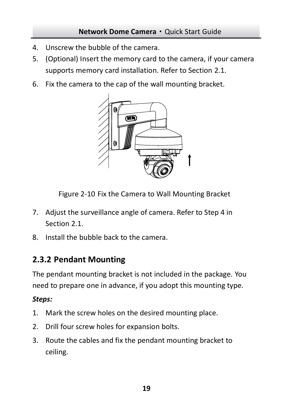- 4. Unscrew the bubble of the camera.
- 5. (Optional) Insert the memory card to the camera, if your camera supports memory card installation. Refer to Sectio[n 2.1.](#page-13-0)
- 6. Fix the camera to the cap of the wall mounting bracket.



Figure 2-10 Fix the Camera to Wall Mounting Bracket

- 7. Adjust the surveillance angle of camera. Refer to Step 4 in Sectio[n 2.1.](#page-13-0)
- <span id="page-19-0"></span>8. Install the bubble back to the camera.

### **2.3.2 Pendant Mounting**

The pendant mounting bracket is not included in the package. You need to prepare one in advance, if you adopt this mounting type.

### *Steps:*

- 1. Mark the screw holes on the desired mounting place.
- 2. Drill four screw holes for expansion bolts.
- 3. Route the cables and fix the pendant mounting bracket to ceiling.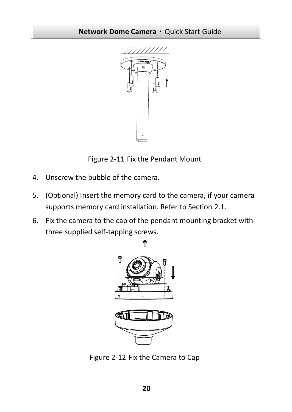

Figure 2-11 Fix the Pendant Mount

- 4. Unscrew the bubble of the camera.
- 5. (Optional) Insert the memory card to the camera, if your camera supports memory card installation. Refer to Sectio[n 2.1.](#page-13-0)
- 6. Fix the camera to the cap of the pendant mounting bracket with three supplied self-tapping screws.



Figure 2-12 Fix the Camera to Cap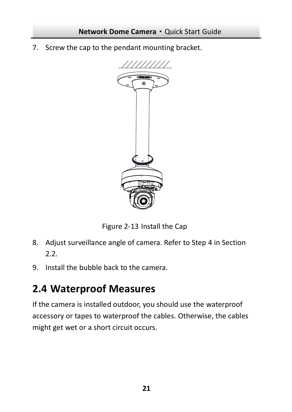7. Screw the cap to the pendant mounting bracket.



Figure 2-13 Install the Cap

- 8. Adjust surveillance angle of camera. Refer to Ste[p 4](#page-16-1) in Section  $2.2$
- 9. Install the bubble back to the camera.

### <span id="page-21-0"></span>**2.4 Waterproof Measures**

If the camera is installed outdoor, you should use the waterproof accessory or tapes to waterproof the cables. Otherwise, the cables might get wet or a short circuit occurs.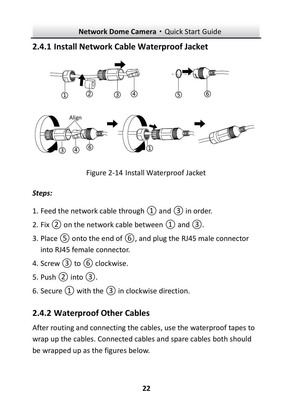### <span id="page-22-0"></span>**2.4.1 Install Network Cable Waterproof Jacket**



Figure 2-14 Install Waterproof Jacket

### *Steps:*

- 1. Feed the network cable through  $(1)$  and  $(3)$  in order.
- 2. Fix  $(2)$  on the network cable between  $(1)$  and  $(3)$ .
- 3. Place ⑤ onto the end of ⑥, and plug the RJ45 male connector into RJ45 female connector.
- 4. Screw 3 to 6 clockwise.
- 5. Push ② into ③.
- 6. Secure  $(1)$  with the  $(3)$  in clockwise direction.

### <span id="page-22-1"></span>**2.4.2 Waterproof Other Cables**

After routing and connecting the cables, use the waterproof tapes to wrap up the cables. Connected cables and spare cables both should be wrapped up as the figures below.